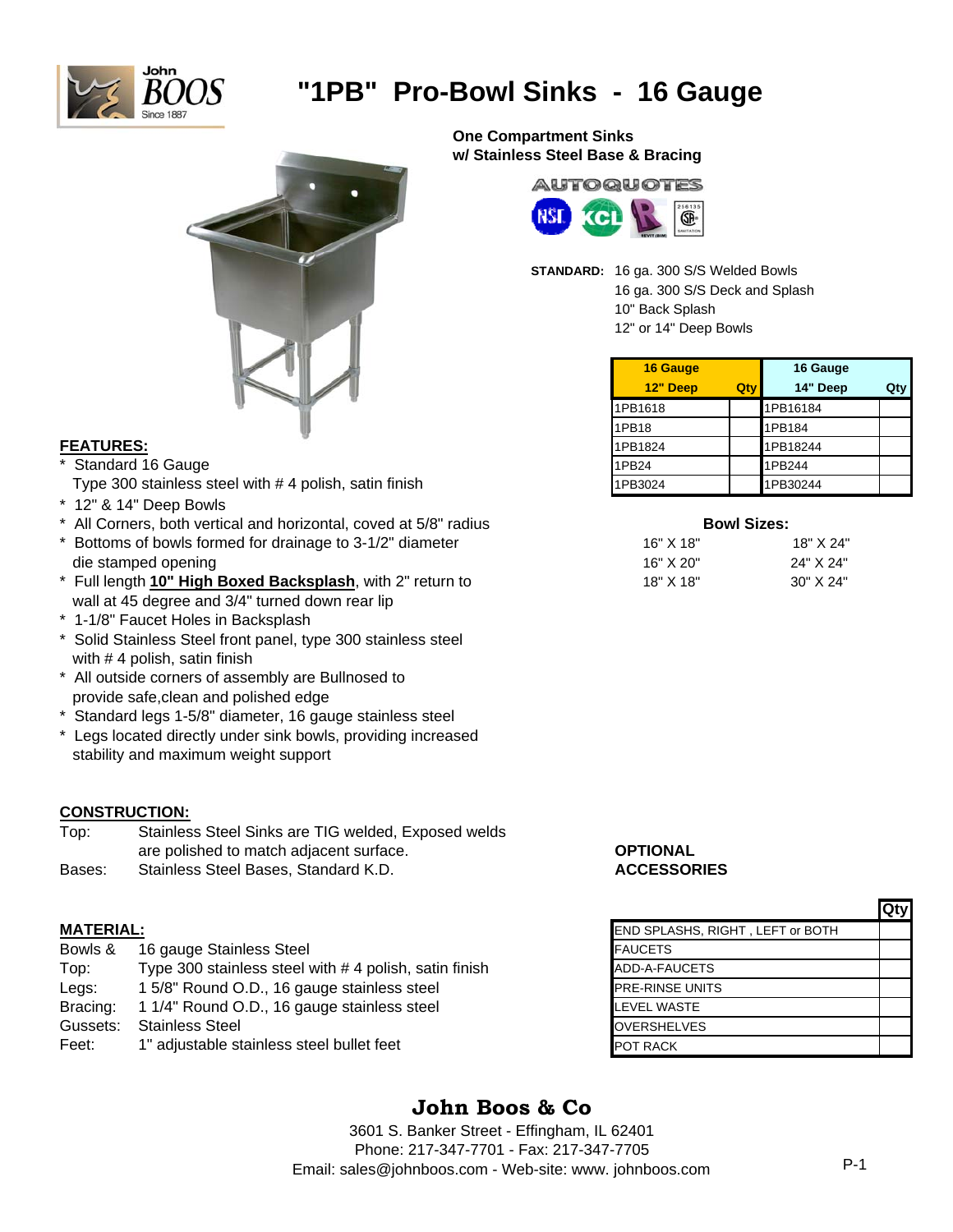

# **"1PB" Pro-Bowl Sinks - 16 Gauge**



## **FEATURES:**

- Standard 16 Gauge
- Type 300 stainless steel with  $# 4$  polish, satin finish
- \* 12" & 14" Deep Bowls
- \* All Corners, both vertical and horizontal, coved at 5/8" radius
- $*$  Bottoms of bowls formed for drainage to 3-1/2" diameter die stamped opening
- \* Full length **10" High Boxed Backsplash**, with 2" return to wall at 45 degree and 3/4" turned down rear lip
- \* 1-1/8" Faucet Holes in Backsplash
- \* Solid Stainless Steel front panel, type 300 stainless steel with # 4 polish, satin finish
- \* All outside corners of assembly are Bullnosed to provide safe,clean and polished edge
- \* Standard legs 1-5/8" diameter, 16 gauge stainless steel
- \* Legs located directly under sink bowls, providing increased stability and maximum weight support

## **CONSTRUCTION:**

Top: Stainless Steel Sinks are TIG welded, Exposed welds are polished to match adjacent surface. **OPTIONAL** Bases: Stainless Steel Bases, Standard K.D. **ACCESSORIES**

| Bowls &  | 16 gauge Stainless Steel                              | <b>FAUCETS</b>         |
|----------|-------------------------------------------------------|------------------------|
| Top:     | Type 300 stainless steel with #4 polish, satin finish | ADD-A-FAUCETS          |
| Legs:    | 15/8" Round O.D., 16 gauge stainless steel            | <b>PRE-RINSE UNITS</b> |
| Bracing: | 1 1/4" Round O.D., 16 gauge stainless steel           | <b>LEVEL WASTE</b>     |
| Gussets: | <b>Stainless Steel</b>                                | <b>OVERSHELVES</b>     |
| Feet:    | 1" adjustable stainless steel bullet feet             | <b>POT RACK</b>        |

**One Compartment Sinks w/ Stainless Steel Base & Bracing**



**STANDARD:** 16 ga. 300 S/S Welded Bowls

16 ga. 300 S/S Deck and Splash 10" Back Splash

12" or 14" Deep Bowls

| 16 Gauge |     | 16 Gauge |     |
|----------|-----|----------|-----|
| 12" Deep | Qty | 14" Deep | Qt۱ |
| 1PB1618  |     | 1PB16184 |     |
| 1PB18    |     | 1PB184   |     |
| 1PB1824  |     | 1PB18244 |     |
| 1PB24    |     | 1PB244   |     |
| 1PB3024  |     | 1PB30244 |     |

| <b>Bowl Sizes:</b> |             |
|--------------------|-------------|
| 16" X 18"          | 18" X 24    |
| 16" X 20"          | 24" X 24"   |
| 18" X 18"          | $30"$ X 24" |

|                  |                                                       |                                  | <b>Qty</b> |
|------------------|-------------------------------------------------------|----------------------------------|------------|
| <b>MATERIAL:</b> |                                                       | END SPLASHS, RIGHT, LEFT or BOTH |            |
| Bowls &          | 16 gauge Stainless Steel                              | <b>FAUCETS</b>                   |            |
| Top:             | Type 300 stainless steel with #4 polish, satin finish | ADD-A-FAUCETS                    |            |
| Legs:            | 15/8" Round O.D., 16 gauge stainless steel            | <b>PRE-RINSE UNITS</b>           |            |
| Bracing:         | 1 1/4" Round O.D., 16 gauge stainless steel           | <b>LEVEL WASTE</b>               |            |
| Gussets:         | <b>Stainless Steel</b>                                | <b>OVERSHELVES</b>               |            |
| Feet:            | 1" adjustable stainless steel bullet feet             | <b>POT RACK</b>                  |            |

## **John Boos & Co**

3601 S. Banker Street - Effingham, IL 62401 Phone: 217-347-7701 - Fax: 217-347-7705 Email: sales@johnboos.com - Web-site: www. johnboos.com